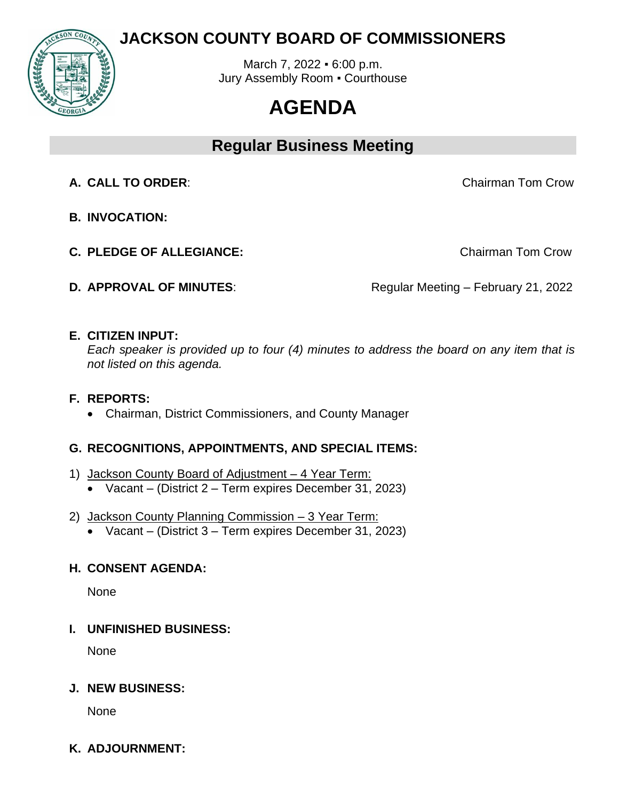

# **JACKSON COUNTY BOARD OF COMMISSIONERS**

March 7, 2022 ▪ 6:00 p.m. Jury Assembly Room ▪ Courthouse

# **AGENDA**

# **Regular Business Meeting**

**A. CALL TO ORDER**: Chairman Tom Crow

- **B. INVOCATION:**
- **C. PLEDGE OF ALLEGIANCE:** The contract of the chairman Tom Crow

**D. APPROVAL OF MINUTES:** Regular Meeting – February 21, 2022

## **E. CITIZEN INPUT:**

*Each speaker is provided up to four (4) minutes to address the board on any item that is not listed on this agenda.* 

#### **F. REPORTS:**

• Chairman, District Commissioners, and County Manager

## **G. RECOGNITIONS, APPOINTMENTS, AND SPECIAL ITEMS:**

- 1) Jackson County Board of Adjustment 4 Year Term:
	- Vacant (District 2 Term expires December 31, 2023)
- 2) Jackson County Planning Commission 3 Year Term:
	- Vacant (District 3 Term expires December 31, 2023)

## **H. CONSENT AGENDA:**

**None** 

## **I. UNFINISHED BUSINESS:**

None

## **J. NEW BUSINESS:**

None

## **K. ADJOURNMENT:**